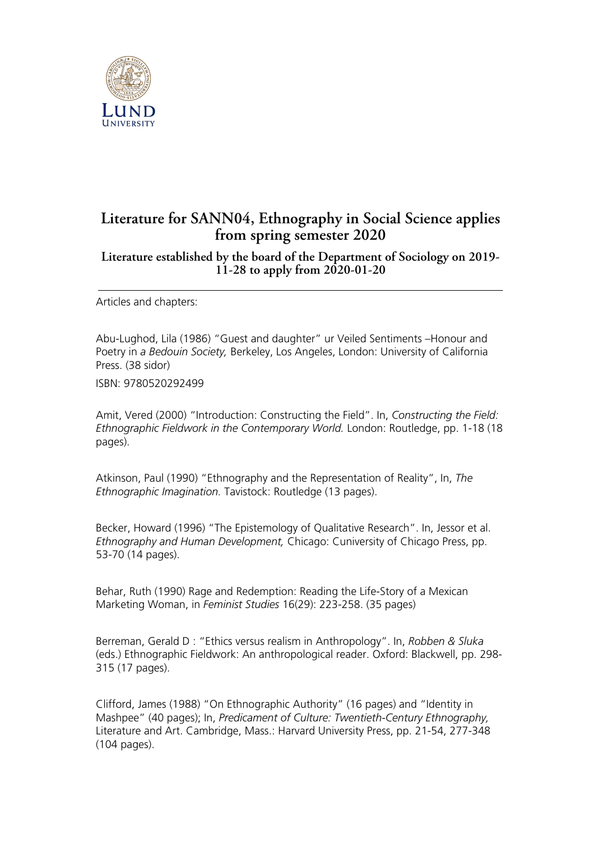

## **Literature for SANN04, Ethnography in Social Science applies from spring semester 2020**

## **Literature established by the board of the Department of Sociology on 2019- 11-28 to apply from 2020-01-20**

Articles and chapters:

Abu-Lughod, Lila (1986) "Guest and daughter" ur Veiled Sentiments –Honour and Poetry in *a Bedouin Society,* Berkeley, Los Angeles, London: University of California Press. (38 sidor)

ISBN: 9780520292499

Amit, Vered (2000) "Introduction: Constructing the Field". In, *Constructing the Field: Ethnographic Fieldwork in the Contemporary World.* London: Routledge, pp. 1-18 (18 pages).

Atkinson, Paul (1990) "Ethnography and the Representation of Reality", In, *The Ethnographic Imagination.* Tavistock: Routledge (13 pages).

Becker, Howard (1996) "The Epistemology of Qualitative Research". In, Jessor et al. *Ethnography and Human Development,* Chicago: Cuniversity of Chicago Press, pp. 53-70 (14 pages).

Behar, Ruth (1990) Rage and Redemption: Reading the Life-Story of a Mexican Marketing Woman, in *Feminist Studies* 16(29): 223-258. (35 pages)

Berreman, Gerald D : "Ethics versus realism in Anthropology". In, *Robben & Sluka* (eds.) Ethnographic Fieldwork: An anthropological reader. Oxford: Blackwell, pp. 298- 315 (17 pages).

Clifford, James (1988) "On Ethnographic Authority" (16 pages) and "Identity in Mashpee" (40 pages); In, *Predicament of Culture: Twentieth-Century Ethnography,* Literature and Art. Cambridge, Mass.: Harvard University Press, pp. 21-54, 277-348 (104 pages).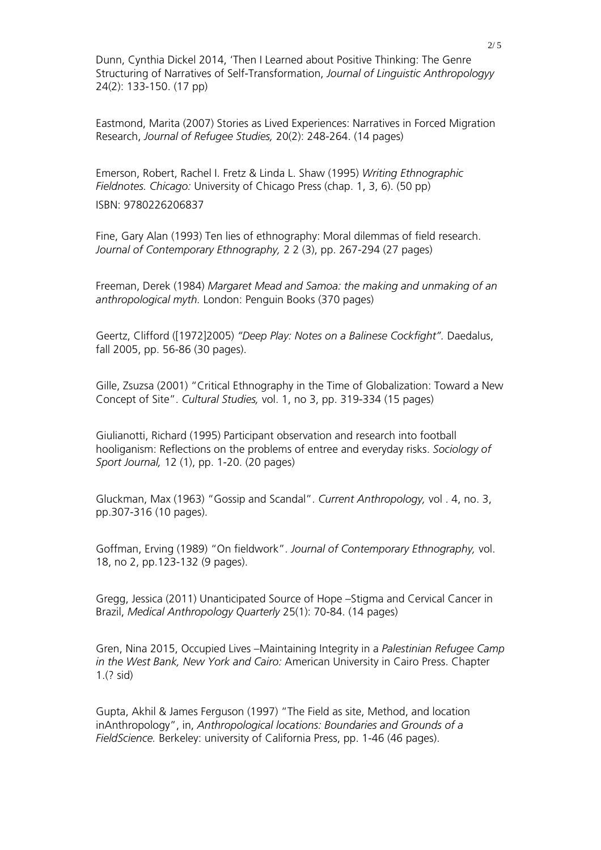Dunn, Cynthia Dickel 2014, 'Then I Learned about Positive Thinking: The Genre Structuring of Narratives of Self-Transformation, *Journal of Linguistic Anthropologyy* 24(2): 133-150. (17 pp)

Eastmond, Marita (2007) Stories as Lived Experiences: Narratives in Forced Migration Research, *Journal of Refugee Studies,* 20(2): 248-264. (14 pages)

Emerson, Robert, Rachel I. Fretz & Linda L. Shaw (1995) *Writing Ethnographic Fieldnotes. Chicago:* University of Chicago Press (chap. 1, 3, 6). (50 pp)

ISBN: 9780226206837

Fine, Gary Alan (1993) Ten lies of ethnography: Moral dilemmas of field research. *Journal of Contemporary Ethnography,* 2 2 (3), pp. 267-294 (27 pages)

Freeman, Derek (1984) *Margaret Mead and Samoa: the making and unmaking of an anthropological myth.* London: Penguin Books (370 pages)

Geertz, Clifford ([1972]2005) *"Deep Play: Notes on a Balinese Cockfight".* Daedalus, fall 2005, pp. 56-86 (30 pages).

Gille, Zsuzsa (2001) "Critical Ethnography in the Time of Globalization: Toward a New Concept of Site". *Cultural Studies,* vol. 1, no 3, pp. 319-334 (15 pages)

Giulianotti, Richard (1995) Participant observation and research into football hooliganism: Reflections on the problems of entree and everyday risks. *Sociology of Sport Journal,* 12 (1), pp. 1-20. (20 pages)

Gluckman, Max (1963) "Gossip and Scandal". *Current Anthropology,* vol . 4, no. 3, pp.307-316 (10 pages).

Goffman, Erving (1989) "On fieldwork". *Journal of Contemporary Ethnography,* vol. 18, no 2, pp.123-132 (9 pages).

Gregg, Jessica (2011) Unanticipated Source of Hope –Stigma and Cervical Cancer in Brazil, *Medical Anthropology Quarterly* 25(1): 70-84. (14 pages)

Gren, Nina 2015, Occupied Lives –Maintaining Integrity in a *Palestinian Refugee Camp in the West Bank, New York and Cairo:* American University in Cairo Press. Chapter 1.(? sid)

Gupta, Akhil & James Ferguson (1997) "The Field as site, Method, and location inAnthropology", in, *Anthropological locations: Boundaries and Grounds of a FieldScience.* Berkeley: university of California Press, pp. 1-46 (46 pages).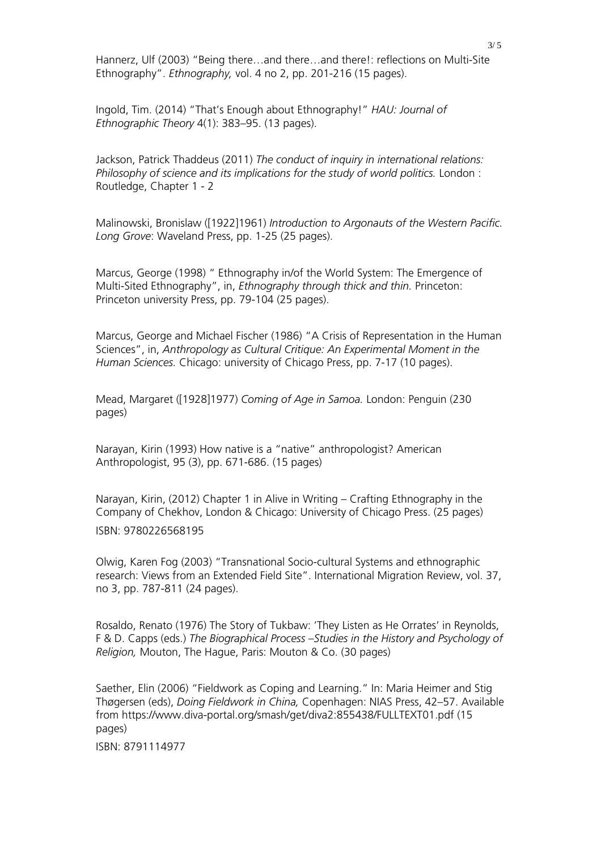Hannerz, Ulf (2003) "Being there…and there…and there!: reflections on Multi-Site Ethnography". *Ethnography,* vol. 4 no 2, pp. 201-216 (15 pages).

Ingold, Tim. (2014) "That's Enough about Ethnography!" *HAU: Journal of Ethnographic Theory* 4(1): 383–95. (13 pages).

Jackson, Patrick Thaddeus (2011) *The conduct of inquiry in international relations: Philosophy of science and its implications for the study of world politics.* London : Routledge, Chapter 1 - 2

Malinowski, Bronislaw ([1922]1961) *Introduction to Argonauts of the Western Pacific. Long Grove*: Waveland Press, pp. 1-25 (25 pages).

Marcus, George (1998) " Ethnography in/of the World System: The Emergence of Multi-Sited Ethnography", in, *Ethnography through thick and thin.* Princeton: Princeton university Press, pp. 79-104 (25 pages).

Marcus, George and Michael Fischer (1986) "A Crisis of Representation in the Human Sciences", in, *Anthropology as Cultural Critique: An Experimental Moment in the Human Sciences.* Chicago: university of Chicago Press, pp. 7-17 (10 pages).

Mead, Margaret ([1928]1977) *Coming of Age in Samoa.* London: Penguin (230 pages)

Narayan, Kirin (1993) How native is a "native" anthropologist? American Anthropologist, 95 (3), pp. 671-686. (15 pages)

Narayan, Kirin, (2012) Chapter 1 in Alive in Writing – Crafting Ethnography in the Company of Chekhov, London & Chicago: University of Chicago Press. (25 pages) ISBN: 9780226568195

Olwig, Karen Fog (2003) "Transnational Socio-cultural Systems and ethnographic research: Views from an Extended Field Site". International Migration Review, vol. 37, no 3, pp. 787-811 (24 pages).

Rosaldo, Renato (1976) The Story of Tukbaw: 'They Listen as He Orrates' in Reynolds, F & D. Capps (eds.) *The Biographical Process –Studies in the History and Psychology of Religion,* Mouton, The Hague, Paris: Mouton & Co. (30 pages)

Saether, Elin (2006) "Fieldwork as Coping and Learning." In: Maria Heimer and Stig Thøgersen (eds), *Doing Fieldwork in China,* Copenhagen: NIAS Press, 42–57. Available from https://www.diva-portal.org/smash/get/diva2:855438/FULLTEXT01.pdf (15 pages)

ISBN: 8791114977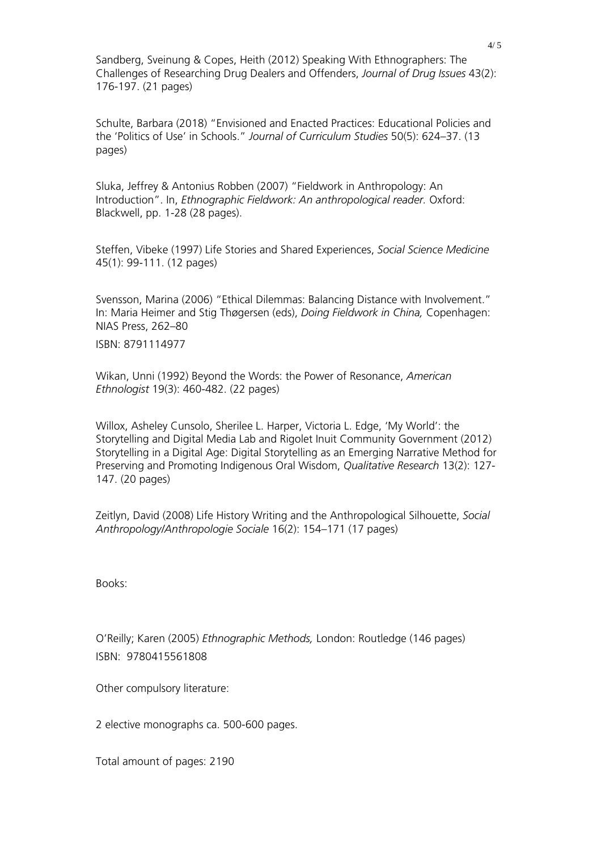Sandberg, Sveinung & Copes, Heith (2012) Speaking With Ethnographers: The Challenges of Researching Drug Dealers and Offenders, *Journal of Drug Issues* 43(2): 176-197. (21 pages)

Schulte, Barbara (2018) "Envisioned and Enacted Practices: Educational Policies and the 'Politics of Use' in Schools." *Journal of Curriculum Studies* 50(5): 624–37. (13 pages)

Sluka, Jeffrey & Antonius Robben (2007) "Fieldwork in Anthropology: An Introduction". In, *Ethnographic Fieldwork: An anthropological reader.* Oxford: Blackwell, pp. 1-28 (28 pages).

Steffen, Vibeke (1997) Life Stories and Shared Experiences, *Social Science Medicine* 45(1): 99-111. (12 pages)

Svensson, Marina (2006) "Ethical Dilemmas: Balancing Distance with Involvement." In: Maria Heimer and Stig Thøgersen (eds), *Doing Fieldwork in China,* Copenhagen: NIAS Press, 262–80

ISBN: 8791114977

Wikan, Unni (1992) Beyond the Words: the Power of Resonance, *American Ethnologist* 19(3): 460-482. (22 pages)

Willox, Asheley Cunsolo, Sherilee L. Harper, Victoria L. Edge, 'My World': the Storytelling and Digital Media Lab and Rigolet Inuit Community Government (2012) Storytelling in a Digital Age: Digital Storytelling as an Emerging Narrative Method for Preserving and Promoting Indigenous Oral Wisdom, *Qualitative Research* 13(2): 127- 147. (20 pages)

Zeitlyn, David (2008) Life History Writing and the Anthropological Silhouette, *Social Anthropology/Anthropologie Sociale* 16(2): 154–171 (17 pages)

Books:

O'Reilly; Karen (2005) *Ethnographic Methods,* London: Routledge (146 pages) ISBN: 9780415561808

Other compulsory literature:

2 elective monographs ca. 500-600 pages.

Total amount of pages: 2190